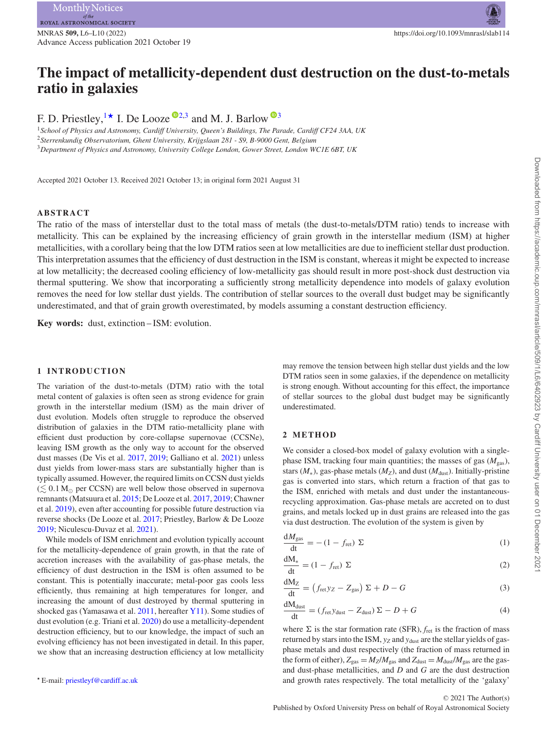<span id="page-0-4"></span>Advance Access publication 2021 October 19

# **The impact of metallicity-dependent dust destruction on the dust-to-metals ratio in galaxies**

F. D. Priestley, <sup>[1](#page-0-0)\*</sup> I. De Looze<sup> $\mathbb{D}^{2,3}$  $\mathbb{D}^{2,3}$  $\mathbb{D}^{2,3}$  $\mathbb{D}^{2,3}$ </sup> and M. J. Barlow  $\mathbb{D}^{3}$ 

<span id="page-0-3"></span><span id="page-0-2"></span><span id="page-0-0"></span><sup>1</sup>*School of Physics and Astronomy, Cardiff University, Queen's Buildings, The Parade, Cardiff CF24 3AA, UK* <sup>2</sup>*Sterrenkundig Observatorium, Ghent University, Krijgslaan 281 - S9, B-9000 Gent, Belgium* <sup>3</sup>*Department of Physics and Astronomy, University College London, Gower Street, London WC1E 6BT, UK*

Accepted 2021 October 13. Received 2021 October 13; in original form 2021 August 31

#### **ABSTRACT**

The ratio of the mass of interstellar dust to the total mass of metals (the dust-to-metals/DTM ratio) tends to increase with metallicity. This can be explained by the increasing efficiency of grain growth in the interstellar medium (ISM) at higher metallicities, with a corollary being that the low DTM ratios seen at low metallicities are due to inefficient stellar dust production. This interpretation assumes that the efficiency of dust destruction in the ISM is constant, whereas it might be expected to increase at low metallicity; the decreased cooling efficiency of low-metallicity gas should result in more post-shock dust destruction via thermal sputtering. We show that incorporating a sufficiently strong metallicity dependence into models of galaxy evolution removes the need for low stellar dust yields. The contribution of stellar sources to the overall dust budget may be significantly underestimated, and that of grain growth overestimated, by models assuming a constant destruction efficiency.

**Key words:** dust, extinction – ISM: evolution.

#### **1 INTRODUCTION**

The variation of the dust-to-metals (DTM) ratio with the total metal content of galaxies is often seen as strong evidence for grain growth in the interstellar medium (ISM) as the main driver of dust evolution. Models often struggle to reproduce the observed distribution of galaxies in the DTM ratio-metallicity plane with efficient dust production by core-collapse supernovae (CCSNe), leaving ISM growth as the only way to account for the observed dust masses (De Vis et al. [2017,](#page-3-0) [2019;](#page-3-1) Galliano et al. [2021\)](#page-3-2) unless dust yields from lower-mass stars are substantially higher than is typically assumed. However, the required limits on CCSN dust yields  $(\lesssim 0.1 \, \text{M}_{\odot}$  per CCSN) are well below those observed in supernova remnants (Matsuura et al. [2015;](#page-3-3) De Looze et al. [2017,](#page-3-4) [2019;](#page-3-5) Chawner et al. [2019\)](#page-3-6), even after accounting for possible future destruction via reverse shocks (De Looze et al. [2017;](#page-3-4) Priestley, Barlow & De Looze [2019;](#page-3-7) Niculescu-Duvaz et al. [2021\)](#page-3-8).

While models of ISM enrichment and evolution typically account for the metallicity-dependence of grain growth, in that the rate of accretion increases with the availability of gas-phase metals, the efficiency of dust destruction in the ISM is often assumed to be constant. This is potentially inaccurate; metal-poor gas cools less efficiently, thus remaining at high temperatures for longer, and increasing the amount of dust destroyed by thermal sputtering in shocked gas (Yamasawa et al. [2011,](#page-3-9) hereafter [Y11\)](#page-3-9). Some studies of dust evolution (e.g. Triani et al. [2020\)](#page-3-10) do use a metallicity-dependent destruction efficiency, but to our knowledge, the impact of such an evolving efficiency has not been investigated in detail. In this paper, we show that an increasing destruction efficiency at low metallicity

<span id="page-0-1"></span>*-* E-mail: [priestleyf@cardiff.ac.uk](mailto:priestleyf@cardiff.ac.uk)

may remove the tension between high stellar dust yields and the low DTM ratios seen in some galaxies, if the dependence on metallicity is strong enough. Without accounting for this effect, the importance of stellar sources to the global dust budget may be significantly underestimated.

#### **2 METHOD**

We consider a closed-box model of galaxy evolution with a singlephase ISM, tracking four main quantities; the masses of gas  $(M_{gas})$ , stars  $(M_*)$ , gas-phase metals  $(M_Z)$ , and dust  $(M_{\text{dust}})$ . Initially-pristine gas is converted into stars, which return a fraction of that gas to the ISM, enriched with metals and dust under the instantaneousrecycling approximation. Gas-phase metals are accreted on to dust grains, and metals locked up in dust grains are released into the gas via dust destruction. The evolution of the system is given by

$$
\frac{dM_{\text{gas}}}{dt} = -(1 - f_{\text{ret}}) \Sigma \tag{1}
$$

$$
\frac{dM_*}{dt} = (1 - f_{\text{ret}}) \Sigma
$$
 (2)

$$
\frac{dM_Z}{dt} = \left(f_{\text{ret}}y_Z - Z_{\text{gas}}\right)\Sigma + D - G\tag{3}
$$

$$
\frac{dM_{\text{dust}}}{dt} = (f_{\text{ret}}y_{\text{dust}} - Z_{\text{dust}}) \Sigma - D + G \tag{4}
$$

where  $\Sigma$  is the star formation rate (SFR),  $f_{\text{ret}}$  is the fraction of mass returned by stars into the ISM,  $y_Z$  and  $y_{dust}$  are the stellar yields of gasphase metals and dust respectively (the fraction of mass returned in the form of either),  $Z_{\text{gas}} = M_Z/M_{\text{gas}}$  and  $Z_{\text{dust}} = M_{\text{dust}}/M_{\text{gas}}$  are the gasand dust-phase metallicities, and *D* and *G* are the dust destruction and growth rates respectively. The total metallicity of the 'galaxy'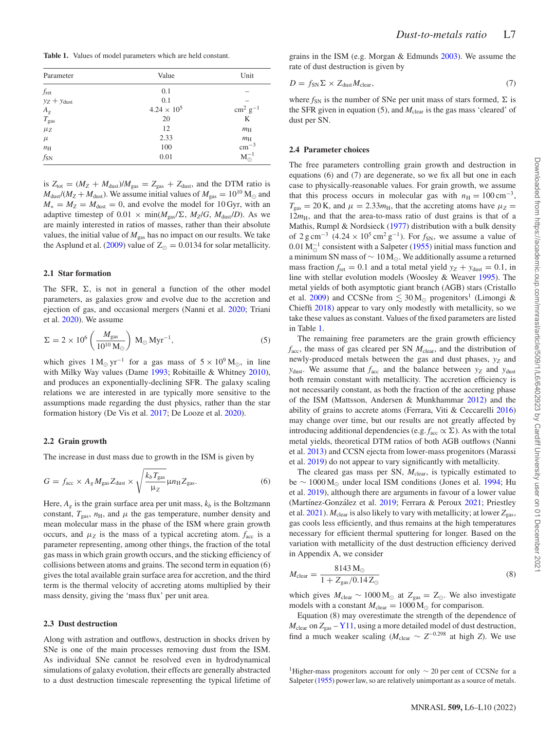<span id="page-1-0"></span>**Table 1.** Values of model parameters which are held constant.

| Parameter           | Value                | Unit              |
|---------------------|----------------------|-------------------|
| $f_{\rm ret}$       | 0.1                  |                   |
| $yz + y$ dust       | 0.1                  |                   |
|                     | $4.24 \times 10^{5}$ | $\rm cm^2~g^{-1}$ |
| $A_g$ $T_{\rm gas}$ | 20                   | K                 |
| $\mu$ z             | 12                   | $m_{\rm H}$       |
| $\mu$               | 2.33                 | $m_{\rm H}$       |
| $n_{\rm H}$         | 100                  | $\rm cm^{-3}$     |
| $f_{SN}$            | 0.01                 | $M_{\odot}^{-1}$  |

is  $Z_{\text{tot}} = (M_Z + M_{\text{dust}})/M_{\text{gas}} = Z_{\text{gas}} + Z_{\text{dust}}$ , and the DTM ratio is  $M_{\text{dust}}/(M_Z + M_{\text{dust}})$ . We assume initial values of  $M_{\text{gas}} = 10^{10} \,\text{M}_{\odot}$  and  $M_* = M_Z = M_{\text{dust}} = 0$ , and evolve the model for 10 Gyr, with an adaptive timestep of 0.01  $\times$  min( $M_{\text{gas}}/\Sigma$ ,  $M_Z/G$ ,  $M_{\text{dust}}/D$ ). As we are mainly interested in ratios of masses, rather than their absolute values, the initial value of  $M_{\text{gas}}$  has no impact on our results. We take the Asplund et al.  $(2009)$  value of  $Z_{\odot} = 0.0134$  for solar metallicity.

#### **2.1 Star formation**

The SFR,  $\Sigma$ , is not in general a function of the other model parameters, as galaxies grow and evolve due to the accretion and ejection of gas, and occasional mergers (Nanni et al. [2020;](#page-3-12) Triani et al. [2020\)](#page-3-10). We assume

$$
\Sigma = 2 \times 10^6 \left( \frac{M_{\text{gas}}}{10^{10} \,\text{M}_{\odot}} \right) \,\text{M}_{\odot} \,\text{Myr}^{-1},\tag{5}
$$

which gives  $1 M_{\odot} yr^{-1}$  for a gas mass of  $5 \times 10^9 M_{\odot}$ , in line with Milky Way values (Dame [1993;](#page-3-13) Robitaille & Whitney [2010\)](#page-3-14), and produces an exponentially-declining SFR. The galaxy scaling relations we are interested in are typically more sensitive to the assumptions made regarding the dust physics, rather than the star formation history (De Vis et al. [2017;](#page-3-0) De Looze et al. [2020\)](#page-3-15).

#### **2.2 Grain growth**

The increase in dust mass due to growth in the ISM is given by

$$
G = f_{\text{acc}} \times A_g M_{\text{gas}} Z_{\text{dust}} \times \sqrt{\frac{k_b T_{\text{gas}}}{\mu_Z}} \mu n_{\text{H}} Z_{\text{gas}}.
$$
 (6)

Here,  $A_g$  is the grain surface area per unit mass,  $k_b$  is the Boltzmann constant,  $T_{\text{gas}}$ ,  $n_{\text{H}}$ , and  $\mu$  the gas temperature, number density and mean molecular mass in the phase of the ISM where grain growth occurs, and  $\mu_Z$  is the mass of a typical accreting atom.  $f_{\text{acc}}$  is a parameter representing, among other things, the fraction of the total gas mass in which grain growth occurs, and the sticking efficiency of collisions between atoms and grains. The second term in equation (6) gives the total available grain surface area for accretion, and the third term is the thermal velocity of accreting atoms multiplied by their mass density, giving the 'mass flux' per unit area.

#### **2.3 Dust destruction**

Along with astration and outflows, destruction in shocks driven by SNe is one of the main processes removing dust from the ISM. As individual SNe cannot be resolved even in hydrodynamical simulations of galaxy evolution, their effects are generally abstracted to a dust destruction timescale representing the typical lifetime of grains in the ISM (e.g. Morgan & Edmunds [2003\)](#page-3-16). We assume the rate of dust destruction is given by

$$
D = f_{\rm SN} \Sigma \times Z_{\rm dust} M_{\rm clear},\tag{7}
$$

where  $f_{SN}$  is the number of SNe per unit mass of stars formed,  $\Sigma$  is the SFR given in equation (5), and  $M_{\text{clear}}$  is the gas mass 'cleared' of dust per SN.

#### **2.4 Parameter choices**

The free parameters controlling grain growth and destruction in equations (6) and (7) are degenerate, so we fix all but one in each case to physically-reasonable values. For grain growth, we assume that this process occurs in molecular gas with  $n<sub>H</sub> = 100 \text{ cm}^{-3}$ ,  $T_{\text{gas}} = 20 \text{ K}$ , and  $\mu = 2.33 m_H$ , that the accreting atoms have  $\mu_Z =$  $12m<sub>H</sub>$ , and that the area-to-mass ratio of dust grains is that of a Mathis, Rumpl & Nordsieck [\(1977\)](#page-3-17) distribution with a bulk density of  $2 \text{ g cm}^{-3}$  (4.24 × 10<sup>5</sup> cm<sup>2</sup> g<sup>-1</sup>). For  $f_{SN}$ , we assume a value of  $0.01 M_{\odot}^{-1}$  consistent with a Salpeter [\(1955\)](#page-3-18) initial mass function and a minimum SN mass of  $\sim 10 M_{\odot}$ . We additionally assume a returned mass fraction  $f_{\text{ret}} = 0.1$  and a total metal yield  $y_Z + y_{\text{dust}} = 0.1$ , in line with stellar evolution models (Woosley & Weaver [1995\)](#page-3-19). The metal yields of both asymptotic giant branch (AGB) stars (Cristallo et al. [2009\)](#page-3-20) and CCSNe from  $\lesssim 30 \,\mathrm{M}_{\odot}$  progenitors<sup>1</sup> (Limongi & Chieffi [2018\)](#page-3-21) appear to vary only modestly with metallicity, so we take these values as constant. Values of the fixed parameters are listed in Table [1.](#page-1-0)

The remaining free parameters are the grain growth efficiency *f*acc, the mass of gas cleared per SN *M*clear, and the distribution of newly-produced metals between the gas and dust phases,  $y_Z$  and  $y_{\text{dust}}$ . We assume that  $f_{\text{acc}}$  and the balance between  $y_Z$  and  $y_{\text{dust}}$ both remain constant with metallicity. The accretion efficiency is not necessarily constant, as both the fraction of the accreting phase of the ISM (Mattsson, Andersen & Munkhammar [2012\)](#page-3-22) and the ability of grains to accrete atoms (Ferrara, Viti & Ceccarelli [2016\)](#page-3-23) may change over time, but our results are not greatly affected by introducing additional dependencies (e.g.  $f_{\text{acc}} \propto \Sigma$ ). As with the total metal yields, theoretical DTM ratios of both AGB outflows (Nanni et al. [2013\)](#page-3-24) and CCSN ejecta from lower-mass progenitors (Marassi et al. [2019\)](#page-3-25) do not appear to vary significantly with metallicity.

The cleared gas mass per SN,  $M_{\text{clear}}$ , is typically estimated to be  $\sim 1000 \,\mathrm{M}_{\odot}$  under local ISM conditions (Jones et al. [1994;](#page-3-26) Hu et al. [2019\)](#page-3-27), although there are arguments in favour of a lower value (Martínez-González et al. [2019;](#page-3-28) Ferrara & Peroux [2021;](#page-3-29) Priestley et al.  $2021$ ).  $M_{\text{clear}}$  is also likely to vary with metallicity; at lower  $Z_{\text{gas}}$ , gas cools less efficiently, and thus remains at the high temperatures necessary for efficient thermal sputtering for longer. Based on the variation with metallicity of the dust destruction efficiency derived in Appendix A, we consider

$$
M_{\text{clear}} = \frac{8143 \,\text{M}_{\odot}}{1 + Z_{\text{gas}} / 0.14 \,\text{Z}_{\odot}}\tag{8}
$$

which gives  $M_{\text{clear}} \sim 1000 \,\text{M}_{\odot}$  at  $Z_{\text{gas}} = Z_{\odot}$ . We also investigate models with a constant  $M_{\text{clear}} = 1000 \,\text{M}_{\odot}$  for comparison.

Equation (8) may overestimate the strength of the dependence of  $M_{\text{clear}}$  on  $Z_{\text{gas}} - Y11$ , using a more detailed model of dust destruction, find a much weaker scaling ( $M_{\text{clear}} \sim Z^{-0.298}$  at high *Z*). We use

<sup>&</sup>lt;sup>1</sup>Higher-mass progenitors account for only  $\sim$  20 per cent of CCSNe for a Salpeter [\(1955\)](#page-3-18) power law, so are relatively unimportant as a source of metals.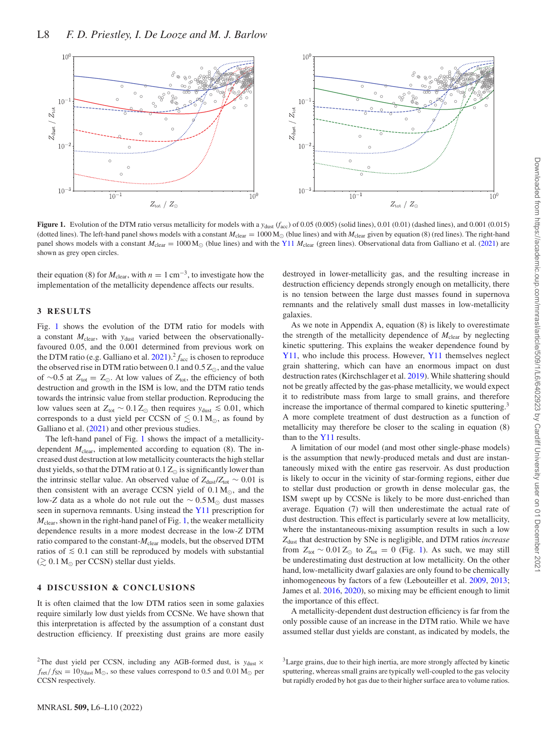<span id="page-2-0"></span>

**Figure 1.** Evolution of the DTM ratio versus metallicity for models with a *y*dust (*facc*) of 0.05 (0.005) (solid lines), 0.01 (0.01) (dashed lines), and 0.001 (0.015) (dotted lines). The left-hand panel shows models with a constant  $M_{\text{clear}} = 1000 \,\text{M}_{\odot}$  (blue lines) and with  $M_{\text{clear}}$  given by equation (8) (red lines). The right-hand panel shows models with a constant  $M_{\text{clear}} = 1000 \,\text{M}_{\odot}$  (blue lines) and with the [Y11](#page-3-9)  $M_{\text{clear}}$  (green lines). Observational data from Galliano et al. [\(2021\)](#page-3-2) are shown as grey open circles.

their equation (8) for  $M_{\text{clear}}$ , with  $n = 1 \text{ cm}^{-3}$ , to investigate how the implementation of the metallicity dependence affects our results.

#### **3 RESULTS**

Fig. [1](#page-2-0) shows the evolution of the DTM ratio for models with a constant  $M_{\text{clear}}$ , with  $y_{\text{dust}}$  varied between the observationallyfavoured 0.05, and the 0.001 determined from previous work on the DTM ratio (e.g. Galliano et al.  $2021$ ).<sup>2</sup>  $f_{\text{acc}}$  is chosen to reproduce the observed rise in DTM ratio between  $0.1$  and  $0.5 Z_{\odot}$ , and the value of ∼0.5 at  $Z_{\text{tot}} = Z_{\odot}$ . At low values of  $Z_{\text{tot}}$ , the efficiency of both destruction and growth in the ISM is low, and the DTM ratio tends towards the intrinsic value from stellar production. Reproducing the low values seen at  $Z_{\text{tot}} \sim 0.1 Z_{\odot}$  then requires  $y_{\text{dust}} \le 0.01$ , which corresponds to a dust yield per CCSN of  $\lesssim 0.1 \,\mathrm{M}_{\odot}$ , as found by Galliano et al. [\(2021\)](#page-3-2) and other previous studies.

The left-hand panel of Fig. [1](#page-2-0) shows the impact of a metallicitydependent  $M_{\text{clear}}$ , implemented according to equation (8). The increased dust destruction at low metallicity counteracts the high stellar dust yields, so that the DTM ratio at  $0.1 \, \rm Z_{\odot}$  is significantly lower than the intrinsic stellar value. An observed value of  $Z_{\text{dust}}/Z_{\text{tot}} \sim 0.01$  is then consistent with an average CCSN yield of  $0.1 M_{\odot}$ , and the low-Z data as a whole do not rule out the  $\sim 0.5 M_{\odot}$  dust masses seen in supernova remnants. Using instead the [Y11](#page-3-9) prescription for *M*clear, shown in the right-hand panel of Fig. [1,](#page-2-0) the weaker metallicity dependence results in a more modest decrease in the low-*Z* DTM ratio compared to the constant- $M_{\text{clear}}$  models, but the observed DTM ratios of  $\leq 0.1$  can still be reproduced by models with substantial  $(\gtrsim 0.1 \, \text{M}_{\odot}$  per CCSN) stellar dust yields.

#### **4 DISCUSSION & CONCLUSIONS**

It is often claimed that the low DTM ratios seen in some galaxies require similarly low dust yields from CCSNe. We have shown that this interpretation is affected by the assumption of a constant dust destruction efficiency. If preexisting dust grains are more easily

destroyed in lower-metallicity gas, and the resulting increase in destruction efficiency depends strongly enough on metallicity, there is no tension between the large dust masses found in supernova remnants and the relatively small dust masses in low-metallicity galaxies.

As we note in Appendix A, equation (8) is likely to overestimate the strength of the metallicity dependence of  $M_{\text{clear}}$  by neglecting kinetic sputtering. This explains the weaker dependence found by [Y11,](#page-3-9) who include this process. However, [Y11](#page-3-9) themselves neglect grain shattering, which can have an enormous impact on dust destruction rates (Kirchschlager et al. [2019\)](#page-3-31). While shattering should not be greatly affected by the gas-phase metallicity, we would expect it to redistribute mass from large to small grains, and therefore increase the importance of thermal compared to kinetic sputtering.<sup>3</sup> A more complete treatment of dust destruction as a function of metallicity may therefore be closer to the scaling in equation (8) than to the  $Y11$  results.

A limitation of our model (and most other single-phase models) is the assumption that newly-produced metals and dust are instantaneously mixed with the entire gas reservoir. As dust production is likely to occur in the vicinity of star-forming regions, either due to stellar dust production or growth in dense molecular gas, the ISM swept up by CCSNe is likely to be more dust-enriched than average. Equation (7) will then underestimate the actual rate of dust destruction. This effect is particularly severe at low metallicity, where the instantaneous-mixing assumption results in such a low *Z*dust that destruction by SNe is negligible, and DTM ratios *increase* from  $Z_{\text{tot}} \sim 0.01 Z_{\odot}$  to  $Z_{\text{tot}} = 0$  (Fig. [1\)](#page-2-0). As such, we may still be underestimating dust destruction at low metallicity. On the other hand, low-metallicity dwarf galaxies are only found to be chemically inhomogeneous by factors of a few (Lebouteiller et al. [2009,](#page-3-32) [2013;](#page-3-33) James et al. [2016,](#page-3-34) [2020\)](#page-3-35), so mixing may be efficient enough to limit the importance of this effect.

A metallicity-dependent dust destruction efficiency is far from the only possible cause of an increase in the DTM ratio. While we have assumed stellar dust yields are constant, as indicated by models, the

<sup>&</sup>lt;sup>2</sup>The dust yield per CCSN, including any AGB-formed dust, is  $y_{dust} \times$  $f_{\text{ret}}/f_{\text{SN}} = 10y_{\text{dust}} M_{\odot}$ , so these values correspond to 0.5 and 0.01 M<sub> $\odot$ </sub> per CCSN respectively.

<sup>&</sup>lt;sup>3</sup>Large grains, due to their high inertia, are more strongly affected by kinetic sputtering, whereas small grains are typically well-coupled to the gas velocity but rapidly eroded by hot gas due to their higher surface area to volume ratios.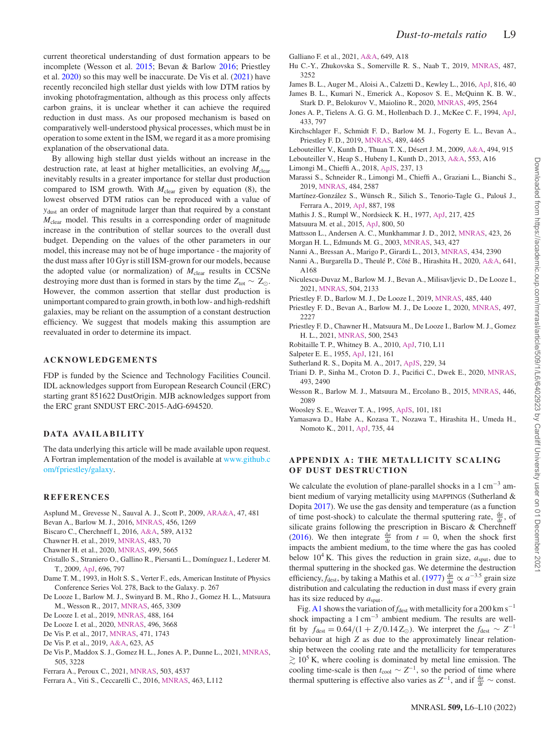current theoretical understanding of dust formation appears to be incomplete (Wesson et al. [2015;](#page-3-36) Bevan & Barlow [2016;](#page-3-37) Priestley et al. [2020\)](#page-3-38) so this may well be inaccurate. De Vis et al. [\(2021\)](#page-3-39) have recently reconciled high stellar dust yields with low DTM ratios by invoking photofragmentation, although as this process only affects carbon grains, it is unclear whether it can achieve the required reduction in dust mass. As our proposed mechanism is based on comparatively well-understood physical processes, which must be in operation to some extent in the ISM, we regard it as a more promising explanation of the observational data.

By allowing high stellar dust yields without an increase in the destruction rate, at least at higher metallicities, an evolving  $M_{\text{clear}}$ inevitably results in a greater importance for stellar dust production compared to ISM growth. With  $M_{clear}$  given by equation (8), the lowest observed DTM ratios can be reproduced with a value of *y*dust an order of magnitude larger than that required by a constant *M*clear model. This results in a corresponding order of magnitude increase in the contribution of stellar sources to the overall dust budget. Depending on the values of the other parameters in our model, this increase may not be of huge importance - the majority of the dust mass after 10 Gyr is still ISM-grown for our models, because the adopted value (or normalization) of *M*clear results in CCSNe destroying more dust than is formed in stars by the time  $Z_{\text{tot}} \sim Z_{\odot}$ . However, the common assertion that stellar dust production is unimportant compared to grain growth, in both low- and high-redshift galaxies, may be reliant on the assumption of a constant destruction efficiency. We suggest that models making this assumption are reevaluated in order to determine its impact.

## **ACKNOWLEDGEMENTS**

FDP is funded by the Science and Technology Facilities Council. IDL acknowledges support from European Research Council (ERC) starting grant 851622 DustOrigin. MJB acknowledges support from the ERC grant SNDUST ERC-2015-AdG-694520.

## **DATA AVA IL AB IL IT Y**

The data underlying this article will be made available upon request. [A Fortran implementation of the model is available at](#page-0-4) www.github.c om/fpriestley/galaxy.

### **REFERENCES**

- <span id="page-3-11"></span>Asplund M., Grevesse N., Sauval A. J., Scott P., 2009, [ARA&A,](http://dx.doi.org/10.1146/annurev.astro.46.060407.145222) 47, 481
- <span id="page-3-37"></span>Bevan A., Barlow M. J., 2016, [MNRAS,](http://dx.doi.org/10.1093/mnras/stv2651) 456, 1269
- <span id="page-3-41"></span>Biscaro C., Cherchneff I., 2016, [A&A,](http://dx.doi.org/10.1051/0004-6361/201527769) 589, A132
- <span id="page-3-6"></span>Chawner H. et al., 2019, [MNRAS,](http://dx.doi.org/10.1093/mnras/sty2942) 483, 70
- <span id="page-3-42"></span>Chawner H. et al., 2020, [MNRAS,](http://dx.doi.org/10.1093/mnras/staa2925) 499, 5665
- <span id="page-3-20"></span>Cristallo S., Straniero O., Gallino R., Piersanti L., Domínguez I., Lederer M. T., 2009, [ApJ,](http://dx.doi.org/10.1088/0004-637X/696/1/797) 696, 797
- <span id="page-3-13"></span>Dame T. M., 1993, in Holt S. S., Verter F., eds, American Institute of Physics Conference Series Vol. 278, Back to the Galaxy. p. 267
- <span id="page-3-4"></span>De Looze I., Barlow M. J., Swinyard B. M., Rho J., Gomez H. L., Matsuura M., Wesson R., 2017, [MNRAS,](http://dx.doi.org/10.1093/mnras/stw2837) 465, 3309
- <span id="page-3-5"></span>De Looze I. et al., 2019, [MNRAS,](http://dx.doi.org/10.1093/mnras/stz1533) 488, 164
- <span id="page-3-15"></span>De Looze I. et al., 2020, [MNRAS,](http://dx.doi.org/10.1093/mnras/staa1496) 496, 3668
- <span id="page-3-0"></span>De Vis P. et al., 2017, [MNRAS,](http://dx.doi.org/10.1093/mnras/stx981) 471, 1743
- <span id="page-3-1"></span>De Vis P. et al., 2019, [A&A,](http://dx.doi.org/10.1051/0004-6361/201834444) 623, A5
- <span id="page-3-39"></span>De Vis P., Maddox S. J., Gomez H. L., Jones A. P., Dunne L., 2021, [MNRAS,](http://dx.doi.org/10.1093/mnras/stab1604) 505, 3228
- <span id="page-3-29"></span>Ferrara A., Peroux C., 2021, [MNRAS,](http://dx.doi.org/10.1093/mnras/stab761) 503, 4537
- <span id="page-3-23"></span>Ferrara A., Viti S., Ceccarelli C., 2016, [MNRAS,](http://dx.doi.org/10.1093/mnrasl/slw165) 463, L112
- <span id="page-3-2"></span>Galliano F. et al., 2021, [A&A,](http://dx.doi.org/10.1051/0004-6361/202039701) 649, A18
- <span id="page-3-27"></span>Hu C.-Y., Zhukovska S., Somerville R. S., Naab T., 2019, [MNRAS,](http://dx.doi.org/10.1093/mnras/stz1481) 487, 3252
- <span id="page-3-34"></span>James B. L., Auger M., Aloisi A., Calzetti D., Kewley L., 2016, [ApJ,](http://dx.doi.org/10.3847/0004-637X/816/1/40) 816, 40
- <span id="page-3-35"></span>James B. L., Kumari N., Emerick A., Koposov S. E., McQuinn K. B. W., Stark D. P., Belokurov V., Maiolino R., 2020, [MNRAS,](http://dx.doi.org/10.1093/mnras/staa1280) 495, 2564
- <span id="page-3-26"></span>Jones A. P., Tielens A. G. G. M., Hollenbach D. J., McKee C. F., 1994, [ApJ,](http://dx.doi.org/10.1086/174689) 433, 797
- <span id="page-3-31"></span>Kirchschlager F., Schmidt F. D., Barlow M. J., Fogerty E. L., Bevan A., Priestley F. D., 2019, [MNRAS,](http://dx.doi.org/10.1093/mnras/stz2399) 489, 4465
- <span id="page-3-32"></span>Lebouteiller V., Kunth D., Thuan T. X., Désert J. M., 2009, [A&A,](http://dx.doi.org/10.1051/0004-6361:200811089) 494, 915
- <span id="page-3-33"></span>Lebouteiller V., Heap S., Hubeny I., Kunth D., 2013, [A&A,](http://dx.doi.org/10.1051/0004-6361/201220948) 553, A16
- <span id="page-3-21"></span>Limongi M., Chieffi A., 2018, [ApJS,](http://dx.doi.org/10.3847/1538-4365/aacb24) 237, 13
- <span id="page-3-25"></span>Marassi S., Schneider R., Limongi M., Chieffi A., Graziani L., Bianchi S., 2019, [MNRAS,](http://dx.doi.org/10.1093/mnras/sty3323) 484, 2587
- <span id="page-3-28"></span>Martínez-González S., Wünsch R., Silich S., Tenorio-Tagle G., Palouš J., Ferrara A., 2019, [ApJ,](http://dx.doi.org/10.3847/1538-4357/ab571b) 887, 198
- <span id="page-3-17"></span>Mathis J. S., Rumpl W., Nordsieck K. H., 1977, [ApJ,](http://dx.doi.org/10.1086/155591) 217, 425
- <span id="page-3-3"></span>Matsuura M. et al., 2015, [ApJ,](http://dx.doi.org/10.1088/0004-637X/800/1/50) 800, 50
- <span id="page-3-22"></span>Mattsson L., Andersen A. C., Munkhammar J. D., 2012, [MNRAS,](http://dx.doi.org/10.1111/j.1365-2966.2012.20575.x) 423, 26
- <span id="page-3-16"></span>Morgan H. L., Edmunds M. G., 2003, [MNRAS,](http://dx.doi.org/10.1046/j.1365-8711.2003.06681.x) 343, 427
- <span id="page-3-24"></span>Nanni A., Bressan A., Marigo P., Girardi L., 2013, [MNRAS,](http://dx.doi.org/10.1093/mnras/stt1175) 434, 2390
- <span id="page-3-12"></span>Nanni A., Burgarella D., Theulé P., Côté B., Hirashita H., 2020, [A&A,](http://dx.doi.org/10.1051/0004-6361/202037833) 641, A168
- <span id="page-3-8"></span>Niculescu-Duvaz M., Barlow M. J., Bevan A., Milisavljevic D., De Looze I., 2021, [MNRAS,](http://dx.doi.org/10.1093/mnras/stab932) 504, 2133
- <span id="page-3-7"></span>Priestley F. D., Barlow M. J., De Looze I., 2019, [MNRAS,](http://dx.doi.org/10.1093/mnras/stz414) 485, 440
- <span id="page-3-38"></span>Priestley F. D., Bevan A., Barlow M. J., De Looze I., 2020, [MNRAS,](http://dx.doi.org/10.1093/mnras/staa2121) 497, 2227
- <span id="page-3-30"></span>Priestley F. D., Chawner H., Matsuura M., De Looze I., Barlow M. J., Gomez H. L., 2021, [MNRAS,](http://dx.doi.org/10.1093/mnras/staa3445) 500, 2543
- <span id="page-3-14"></span>Robitaille T. P., Whitney B. A., 2010, [ApJ,](http://dx.doi.org/10.1088/2041-8205/710/1/L11) 710, L11
- <span id="page-3-18"></span>Salpeter E. E., 1955, [ApJ,](http://dx.doi.org/10.1086/145971) 121, 161
- <span id="page-3-40"></span>Sutherland R. S., Dopita M. A., 2017, [ApJS,](http://dx.doi.org/10.3847/1538-4365/aa6541) 229, 34
- <span id="page-3-10"></span>Triani D. P., Sinha M., Croton D. J., Pacifici C., Dwek E., 2020, [MNRAS,](http://dx.doi.org/10.1093/mnras/staa446) 493, 2490
- <span id="page-3-36"></span>Wesson R., Barlow M. J., Matsuura M., Ercolano B., 2015, [MNRAS,](http://dx.doi.org/10.1093/mnras/stu2250) 446, 2089
- <span id="page-3-19"></span>Woosley S. E., Weaver T. A., 1995, [ApJS,](http://dx.doi.org/10.1086/192237) 101, 181
- <span id="page-3-9"></span>Yamasawa D., Habe A., Kozasa T., Nozawa T., Hirashita H., Umeda H., Nomoto K., 2011, [ApJ,](http://dx.doi.org/10.1088/0004-637X/735/1/44) 735, 44

## **APPENDIX A : THE METALLICITY SCALING OF DUST DESTRUCTION**

We calculate the evolution of plane-parallel shocks in a  $1 \text{ cm}^{-3}$  ambient medium of varying metallicity using MAPPINGS (Sutherland & Dopita [2017\)](#page-3-40). We use the gas density and temperature (as a function of time post-shock) to calculate the thermal sputtering rate,  $\frac{da}{dt}$ , of silicate grains following the prescription in Biscaro & Cherchneff [\(2016\)](#page-3-41). We then integrate  $\frac{da}{dt}$  from  $t = 0$ , when the shock first impacts the ambient medium, to the time where the gas has cooled below  $10^4$  K. This gives the reduction in grain size,  $a_{\text{sput}}$ , due to thermal sputtering in the shocked gas. We determine the destruction efficiency, *f*<sub>dest</sub>, by taking a Mathis et al. [\(1977\)](#page-3-17)  $\frac{dn}{da} \propto a^{-3.5}$  grain size distribution and calculating the reduction in dust mass if every grain has its size reduced by *a*sput.

Fig. [A1](#page-4-0) shows the variation of  $f_{\text{dest}}$  with metallicity for a 200 km s<sup>-1</sup> shock impacting a  $1 \text{ cm}^{-3}$  ambient medium. The results are wellfit by  $f_{\text{dest}} = 0.64/(1 + Z/0.14 Z_{\odot})$ . We interpret the  $f_{\text{dest}} \sim Z^{-1}$ behaviour at high *Z* as due to the approximately linear relationship between the cooling rate and the metallicity for temperatures  $\gtrsim 10^5$  K, where cooling is dominated by metal line emission. The cooling time-scale is then  $t_{\text{cool}} \sim Z^{-1}$ , so the period of time where thermal sputtering is effective also varies as  $Z^{-1}$ , and if  $\frac{da}{dt} \sim$  const.